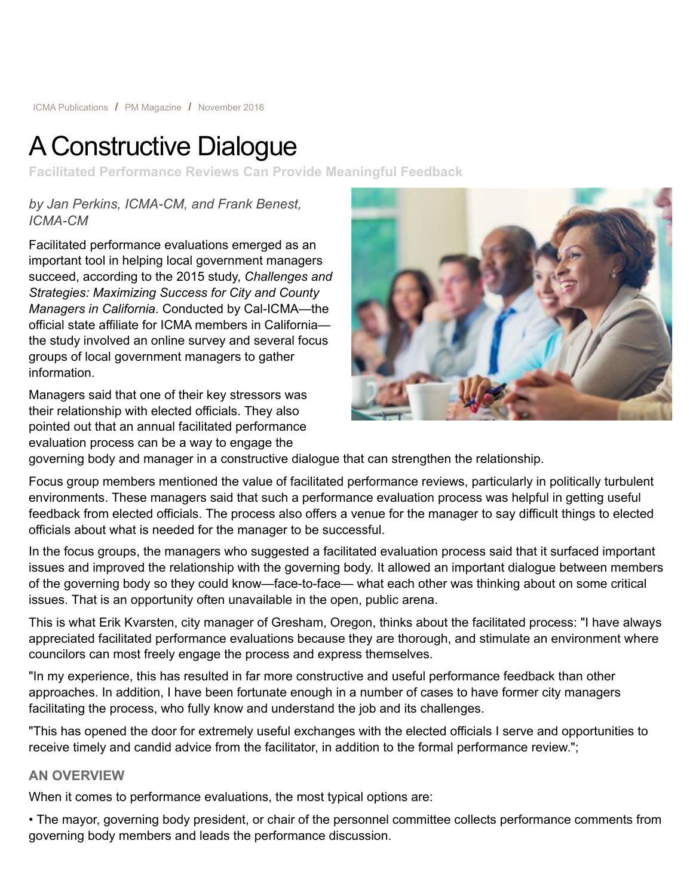# A Constructive Dialogue

**Facilitated Performance Reviews Can Provide Meaningful Feedback**

*by Jan Perkins, ICMA-CM, and Frank Benest, ICMA-CM*

Facilitated performance evaluations emerged as an important tool in helping local government managers succeed, according to the 2015 study, *Challenges and Strategies: Maximizing Success for City and County Managers in California*. Conducted by Cal-ICMA—the official state affiliate for ICMA members in California the study involved an online survey and several focus groups of local government managers to gather information.

Managers said that one of their key stressors was their relationship with elected officials. They also pointed out that an annual facilitated performance evaluation process can be a way to engage the



governing body and manager in a constructive dialogue that can strengthen the relationship.

Focus group members mentioned the value of facilitated performance reviews, particularly in politically turbulent environments. These managers said that such a performance evaluation process was helpful in getting useful feedback from elected officials. The process also offers a venue for the manager to say difficult things to elected officials about what is needed for the manager to be successful.

In the focus groups, the managers who suggested a facilitated evaluation process said that it surfaced important issues and improved the relationship with the governing body. It allowed an important dialogue between members of the governing body so they could know—face-to-face— what each other was thinking about on some critical issues. That is an opportunity often unavailable in the open, public arena.

This is what Erik Kvarsten, city manager of Gresham, Oregon, thinks about the facilitated process: "I have always appreciated facilitated performance evaluations because they are thorough, and stimulate an environment where councilors can most freely engage the process and express themselves.

"In my experience, this has resulted in far more constructive and useful performance feedback than other approaches. In addition, I have been fortunate enough in a number of cases to have former city managers facilitating the process, who fully know and understand the job and its challenges.

"This has opened the door for extremely useful exchanges with the elected officials I serve and opportunities to receive timely and candid advice from the facilitator, in addition to the formal performance review.";

## **AN OVERVIEW**

When it comes to performance evaluations, the most typical options are:

• The mayor, governing body president, or chair of the personnel committee collects performance comments from governing body members and leads the performance discussion.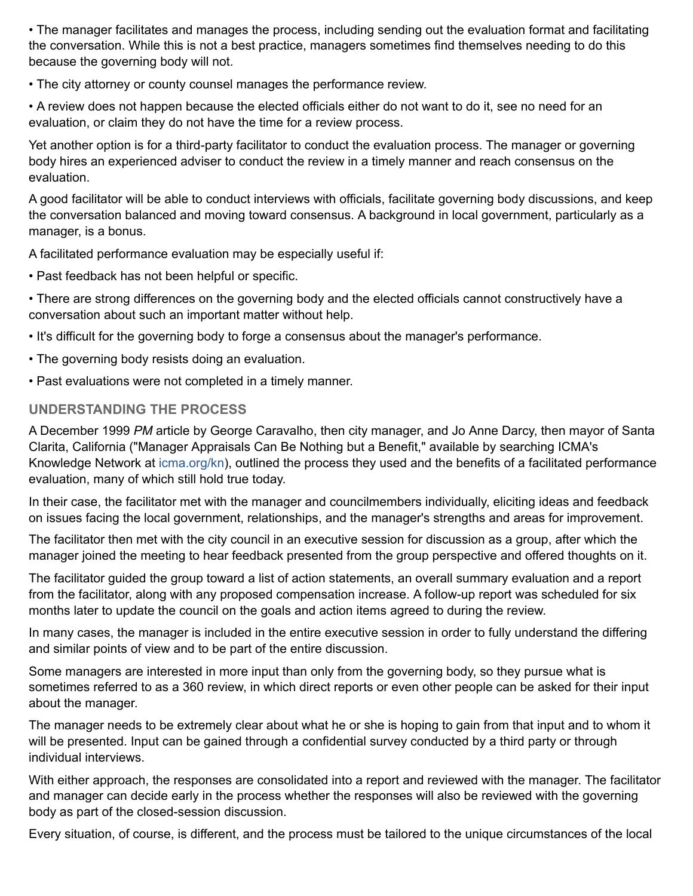• The manager facilitates and manages the process, including sending out the evaluation format and facilitating the conversation. While this is not a best practice, managers sometimes find themselves needing to do this because the governing body will not.

• The city attorney or county counsel manages the performance review.

• A review does not happen because the elected officials either do not want to do it, see no need for an evaluation, or claim they do not have the time for a review process.

Yet another option is for a third-party facilitator to conduct the evaluation process. The manager or governing body hires an experienced adviser to conduct the review in a timely manner and reach consensus on the evaluation.

A good facilitator will be able to conduct interviews with officials, facilitate governing body discussions, and keep the conversation balanced and moving toward consensus. A background in local government, particularly as a manager, is a bonus.

A facilitated performance evaluation may be especially useful if:

• Past feedback has not been helpful or specific.

• There are strong differences on the governing body and the elected officials cannot constructively have a conversation about such an important matter without help.

- It's difficult for the governing body to forge a consensus about the manager's performance.
- The governing body resists doing an evaluation.
- Past evaluations were not completed in a timely manner.

## **UNDERSTANDING THE PROCESS**

A December 1999 *PM* article by George Caravalho, then city manager, and Jo Anne Darcy, then mayor of Santa Clarita, California ("Manager Appraisals Can Be Nothing but a Benefit," available by searching ICMA's Knowledge Network at [icma.org/kn](http://icma.org/icma.org/kn)), outlined the process they used and the benefits of a facilitated performance evaluation, many of which still hold true today.

In their case, the facilitator met with the manager and councilmembers individually, eliciting ideas and feedback on issues facing the local government, relationships, and the manager's strengths and areas for improvement.

The facilitator then met with the city council in an executive session for discussion as a group, after which the manager joined the meeting to hear feedback presented from the group perspective and offered thoughts on it.

The facilitator guided the group toward a list of action statements, an overall summary evaluation and a report from the facilitator, along with any proposed compensation increase. A follow-up report was scheduled for six months later to update the council on the goals and action items agreed to during the review.

In many cases, the manager is included in the entire executive session in order to fully understand the differing and similar points of view and to be part of the entire discussion.

Some managers are interested in more input than only from the governing body, so they pursue what is sometimes referred to as a 360 review, in which direct reports or even other people can be asked for their input about the manager.

The manager needs to be extremely clear about what he or she is hoping to gain from that input and to whom it will be presented. Input can be gained through a confidential survey conducted by a third party or through individual interviews.

With either approach, the responses are consolidated into a report and reviewed with the manager. The facilitator and manager can decide early in the process whether the responses will also be reviewed with the governing body as part of the closed-session discussion.

Every situation, of course, is different, and the process must be tailored to the unique circumstances of the local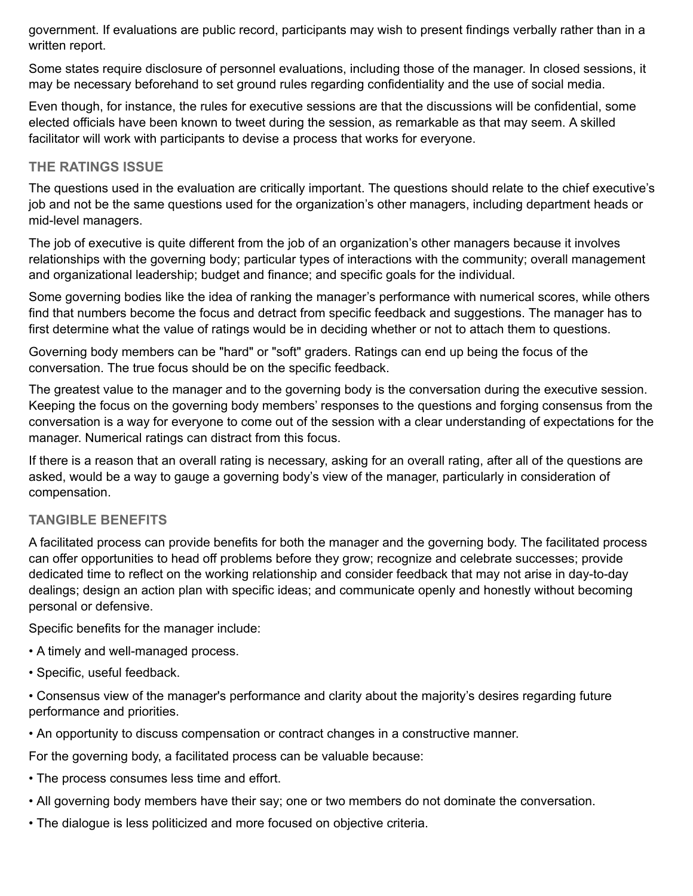government. If evaluations are public record, participants may wish to present findings verbally rather than in a written report.

Some states require disclosure of personnel evaluations, including those of the manager. In closed sessions, it may be necessary beforehand to set ground rules regarding confidentiality and the use of social media.

Even though, for instance, the rules for executive sessions are that the discussions will be confidential, some elected officials have been known to tweet during the session, as remarkable as that may seem. A skilled facilitator will work with participants to devise a process that works for everyone.

## **THE RATINGS ISSUE**

The questions used in the evaluation are critically important. The questions should relate to the chief executive's job and not be the same questions used for the organization's other managers, including department heads or mid-level managers.

The job of executive is quite different from the job of an organization's other managers because it involves relationships with the governing body; particular types of interactions with the community; overall management and organizational leadership; budget and finance; and specific goals for the individual.

Some governing bodies like the idea of ranking the manager's performance with numerical scores, while others find that numbers become the focus and detract from specific feedback and suggestions. The manager has to first determine what the value of ratings would be in deciding whether or not to attach them to questions.

Governing body members can be "hard" or "soft" graders. Ratings can end up being the focus of the conversation. The true focus should be on the specific feedback.

The greatest value to the manager and to the governing body is the conversation during the executive session. Keeping the focus on the governing body members' responses to the questions and forging consensus from the conversation is a way for everyone to come out of the session with a clear understanding of expectations for the manager. Numerical ratings can distract from this focus.

If there is a reason that an overall rating is necessary, asking for an overall rating, after all of the questions are asked, would be a way to gauge a governing body's view of the manager, particularly in consideration of compensation.

## **TANGIBLE BENEFITS**

A facilitated process can provide benefits for both the manager and the governing body. The facilitated process can offer opportunities to head off problems before they grow; recognize and celebrate successes; provide dedicated time to reflect on the working relationship and consider feedback that may not arise in day-to-day dealings; design an action plan with specific ideas; and communicate openly and honestly without becoming personal or defensive.

Specific benefits for the manager include:

- A timely and well-managed process.
- Specific, useful feedback.

• Consensus view of the manager's performance and clarity about the majority's desires regarding future performance and priorities.

• An opportunity to discuss compensation or contract changes in a constructive manner.

For the governing body, a facilitated process can be valuable because:

- The process consumes less time and effort.
- All governing body members have their say; one or two members do not dominate the conversation.
- The dialogue is less politicized and more focused on objective criteria.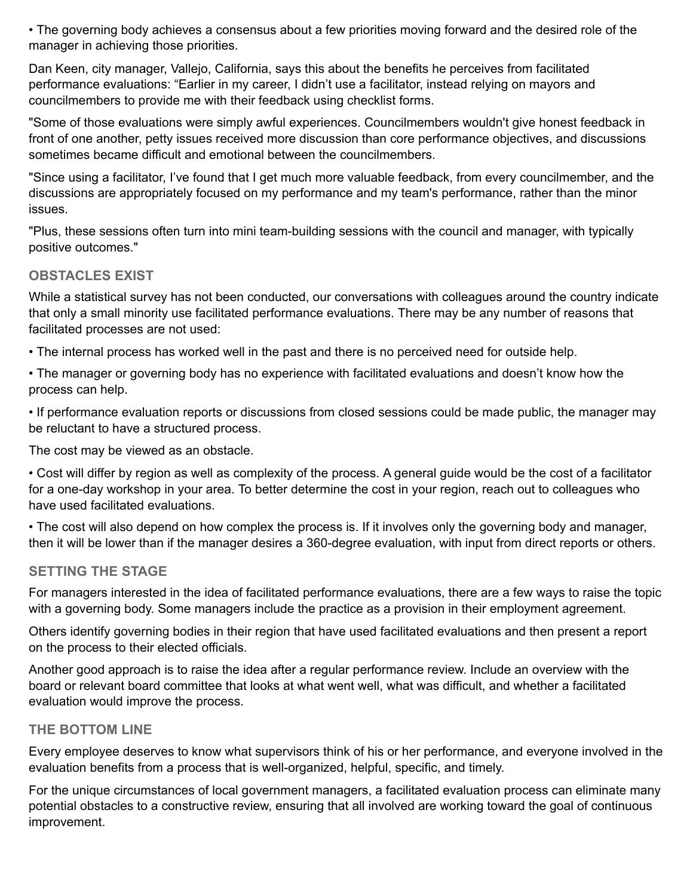• The governing body achieves a consensus about a few priorities moving forward and the desired role of the manager in achieving those priorities.

Dan Keen, city manager, Vallejo, California, says this about the benefits he perceives from facilitated performance evaluations: "Earlier in my career, I didn't use a facilitator, instead relying on mayors and councilmembers to provide me with their feedback using checklist forms.

"Some of those evaluations were simply awful experiences. Councilmembers wouldn't give honest feedback in front of one another, petty issues received more discussion than core performance objectives, and discussions sometimes became difficult and emotional between the councilmembers.

"Since using a facilitator, I've found that I get much more valuable feedback, from every councilmember, and the discussions are appropriately focused on my performance and my team's performance, rather than the minor issues.

"Plus, these sessions often turn into mini team-building sessions with the council and manager, with typically positive outcomes."

## **OBSTACLES EXIST**

While a statistical survey has not been conducted, our conversations with colleagues around the country indicate that only a small minority use facilitated performance evaluations. There may be any number of reasons that facilitated processes are not used:

• The internal process has worked well in the past and there is no perceived need for outside help.

• The manager or governing body has no experience with facilitated evaluations and doesn't know how the process can help.

• If performance evaluation reports or discussions from closed sessions could be made public, the manager may be reluctant to have a structured process.

The cost may be viewed as an obstacle.

• Cost will differ by region as well as complexity of the process. A general guide would be the cost of a facilitator for a one-day workshop in your area. To better determine the cost in your region, reach out to colleagues who have used facilitated evaluations.

• The cost will also depend on how complex the process is. If it involves only the governing body and manager, then it will be lower than if the manager desires a 360-degree evaluation, with input from direct reports or others.

## **SETTING THE STAGE**

For managers interested in the idea of facilitated performance evaluations, there are a few ways to raise the topic with a governing body. Some managers include the practice as a provision in their employment agreement.

Others identify governing bodies in their region that have used facilitated evaluations and then present a report on the process to their elected officials.

Another good approach is to raise the idea after a regular performance review. Include an overview with the board or relevant board committee that looks at what went well, what was difficult, and whether a facilitated evaluation would improve the process.

## **THE BOTTOM LINE**

Every employee deserves to know what supervisors think of his or her performance, and everyone involved in the evaluation benefits from a process that is well-organized, helpful, specific, and timely.

For the unique circumstances of local government managers, a facilitated evaluation process can eliminate many potential obstacles to a constructive review, ensuring that all involved are working toward the goal of continuous improvement.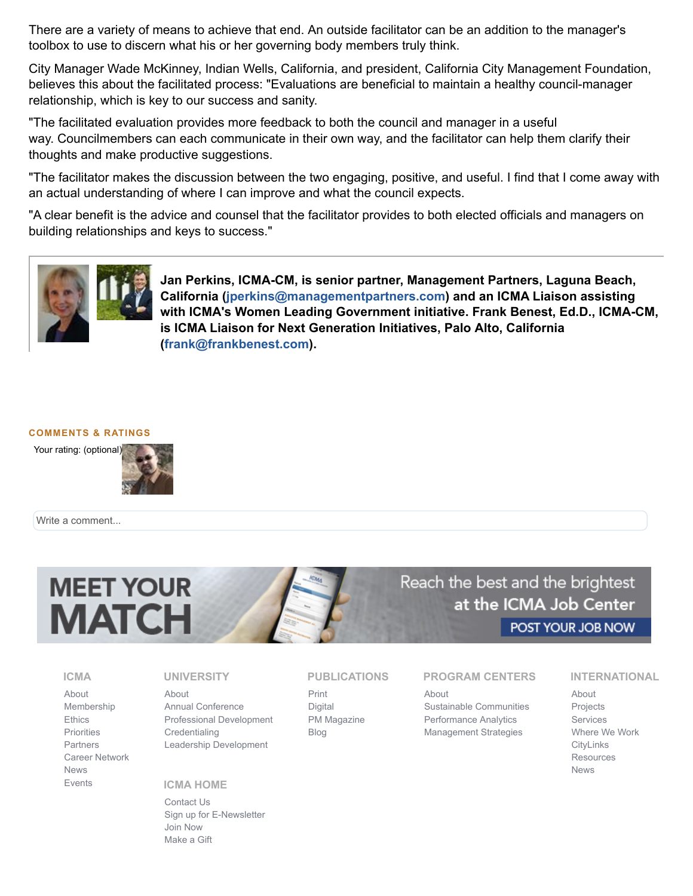There are a variety of means to achieve that end. An outside facilitator can be an addition to the manager's toolbox to use to discern what his or her governing body members truly think.

City Manager Wade McKinney, Indian Wells, California, and president, California City Management Foundation, believes this about the facilitated process: "Evaluations are beneficial to maintain a healthy council-manager relationship, which is key to our success and sanity.

"The facilitated evaluation provides more feedback to both the council and manager in a useful way. Councilmembers can each communicate in their own way, and the facilitator can help them clarify their thoughts and make productive suggestions.

"The facilitator makes the discussion between the two engaging, positive, and useful. I find that I come away with an actual understanding of where I can improve and what the council expects.

"A clear benefit is the advice and counsel that the facilitator provides to both elected officials and managers on building relationships and keys to success."



**Jan Perkins, ICMA-CM, is senior partner, Management Partners, Laguna Beach, California [\(jperkins@managementpartners.com\)](mailto:jperkins@managementpartners.com) and an ICMA Liaison assisting with ICMA's Women Leading Government initiative. Frank Benest, Ed.D., ICMA-CM, is ICMA Liaison for Next Generation Initiatives, Palo Alto, California [\(frank@frankbenest.com](mailto:frank@frankbenest.com)).**

#### **COMMENTS & RATINGS**



Write a comment...



Reach the best and the brightest at the ICMA Job Center POST YOUR JOB NOW

#### **ICMA**

[About](http://icma.org/en/icma/about/organization_overview) [Membership](http://icma.org/en/icma/members/home) **[Ethics](http://icma.org/en/icma/ethics)** [Priorities](http://icma.org/en/icma/priorities/fund_for_professional_management) [Partners](http://icma.org/en/icma/partnerships/partnerships) [Career Network](http://icma.org/en/icma/career_network/home) [News](http://icma.org/en/icma/newsroom/highlights) [Events](http://icma.org/en/icma/events/events)

#### **UNIVERSITY**

[About](http://icma.org/en/university/about) [Annual Conference](http://icma.org/en/icma/events/conference/about/annualconference) [Professional Development](http://icma.org/en/university/professional_development) **[Credentialing](http://icma.org/en/icma/members/credentialing)** [Leadership Development](http://icma.org/en/university/leadership_development/)

## **ICMA HOME**

[Contact Us](http://icma.org/Contact) [Sign up for E-Newsletter](http://icma.org/en/icma/newsroom/icma_e-newsletters) [Join Now](http://icma.org/en/icma/members/join/join_now) [Make a Gift](http://icma.org/en/icma/priorities/future_of_professional_management)

### **PUBLICATIONS**

[Print](http://icma.org/en/press/print) [Digital](http://icma.org/en/press/digital) [PM Magazine](http://icma.org/en/press/pm_magazine/current_issue) [Blog](http://icma.org/en/press/blogs/blog/72/Write_About_Now)

**PROGRAM CENTERS**

[About](http://icma.org/en/results/about) [Sustainable Communities](http://icma.org/en/results/sustainable_communities/home) [Performance Analytics](http://icma.org/en/results/center_for_performance_measurement/home) [Management Strategies](http://icma.org/en/results/management_strategies/home)

#### **INTERNATIONAL**

[About](http://icma.org/en/international/about) [Projects](http://icma.org/en/international/projects) [Services](http://icma.org/en/international/services) [Where We Work](http://icma.org/en/international/regions/overview) **[CityLinks](http://icma.org/en/cl/home) [Resources](http://icma.org/en/international/resources)** [News](http://icma.org/en/international/news)